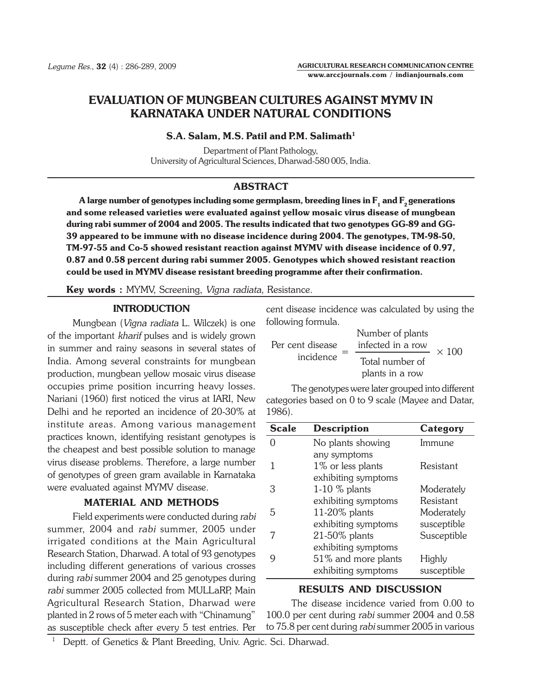# EVALUATION OF MUNGBEAN CULTURES AGAINST MYMV IN KARNATAKA UNDER NATURAL CONDITIONS

#### $S.A.$  Salam, M.S. Patil and P.M. Salimath $^1$

Department of Plant Pathology, University of Agricultural Sciences, Dharwad-580 005, India.

## ABSTRACT

A large number of genotypes including some germplasm, breeding lines in  $F_1$  and  $F_2$  generations and some released varieties were evaluated against yellow mosaic virus disease of mungbean during rabi summer of 2004 and 2005. The results indicated that two genotypes GG-89 and GG-39 appeared to be immune with no disease incidence during 2004. The genotypes, TM-98-50, TM-97-55 and Co-5 showed resistant reaction against MYMV with disease incidence of 0.97, 0.87 and 0.58 percent during rabi summer 2005. Genotypes which showed resistant reaction could be used in MYMV disease resistant breeding programme after their confirmation.

Key words : MYMV, Screening, Vigna radiata, Resistance.

## INTRODUCTION

Mungbean (Vigna radiata L. Wilczek) is one of the important kharif pulses and is widely grown in summer and rainy seasons in several states of India. Among several constraints for mungbean production, mungbean yellow mosaic virus disease occupies prime position incurring heavy losses. Nariani (1960) first noticed the virus at IARI, New Delhi and he reported an incidence of 20-30% at institute areas. Among various management practices known, identifying resistant genotypes is the cheapest and best possible solution to manage virus disease problems. Therefore, a large number of genotypes of green gram available in Karnataka were evaluated against MYMV disease.

#### MATERIAL AND METHODS

Field experiments were conducted during rabi summer, 2004 and rabi summer, 2005 under irrigated conditions at the Main Agricultural Research Station, Dharwad. A total of 93 genotypes including different generations of various crosses during rabi summer 2004 and 25 genotypes during rabi summer 2005 collected from MULLaRP, Main Agricultural Research Station, Dharwad were planted in 2 rows of 5 meter each with "Chinamung" as susceptible check after every 5 test entries. Per

cent disease incidence was calculated by using the following formula.

| Per cent disease<br>incidence | Number of plants<br>infected in a row | $\times$ 100 |
|-------------------------------|---------------------------------------|--------------|
|                               | Total number of<br>plants in a row    |              |

The genotypes were later grouped into different categories based on 0 to 9 scale (Mayee and Datar, 1986).

| <b>Scale</b> | <b>Description</b>  | Category    |
|--------------|---------------------|-------------|
|              | No plants showing   | Immune      |
|              | any symptoms        |             |
|              | 1% or less plants   | Resistant   |
|              | exhibiting symptoms |             |
| З            | $1-10$ % plants     | Moderately  |
|              | exhibiting symptoms | Resistant   |
| 5            | 11-20% plants       | Moderately  |
|              | exhibiting symptoms | susceptible |
|              | 21-50% plants       | Susceptible |
|              | exhibiting symptoms |             |
|              | 51% and more plants | Highly      |
|              | exhibiting symptoms | susceptible |

## RESULTS AND DISCUSSION

The disease incidence varied from 0.00 to 100.0 per cent during rabi summer 2004 and 0.58 to 75.8 per cent during rabi summer 2005 in various

<sup>1</sup> Deptt. of Genetics & Plant Breeding, Univ. Agric. Sci. Dharwad.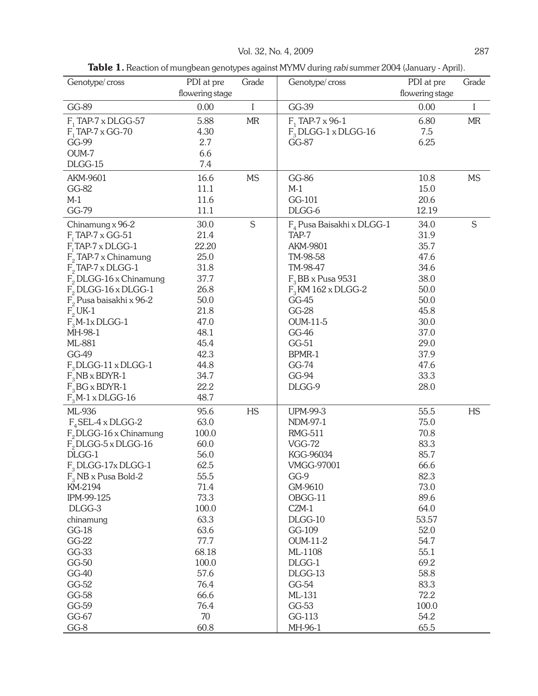Table 1. Reaction of mungbean genotypes against MYMV during rabi summer 2004 (January - April).

| Genotype/cross            | PDI at pre      | Grade     | Genotype/cross               | PDI at pre      | Grade       |
|---------------------------|-----------------|-----------|------------------------------|-----------------|-------------|
|                           | flowering stage |           |                              | flowering stage |             |
| GG-89                     | 0.00            | I         | GG-39                        | 0.00            | $\bf{l}$    |
| $F_1$ TAP-7 x DLGG-57     | 5.88            | MR        | $F_1$ TAP-7 x 96-1           | 6.80            | <b>MR</b>   |
| $F_1$ TAP-7 x GG-70       | 4.30            |           | $F3 D LGG-1 x D LGG-16$      | 7.5             |             |
| GG-99                     | 2.7             |           | GG-87                        | 6.25            |             |
| OUM-7                     | 6.6             |           |                              |                 |             |
| DLGG-15                   | 7.4             |           |                              |                 |             |
| AKM-9601                  | 16.6            | <b>MS</b> | GG-86                        | 10.8            | <b>MS</b>   |
| GG-82                     | 11.1            |           | $M-1$                        | 15.0            |             |
| $M-1$                     | 11.6            |           | GG-101                       | 20.6            |             |
| GG-79                     | 11.1            |           | DLGG-6                       | 12.19           |             |
| Chinamung x 96-2          | 30.0            | S         | $F_a$ Pusa Baisakhi x DLGG-1 | 34.0            | $\mathsf S$ |
| $F1$ TAP-7 x GG-51        | 21.4            |           | TAP-7                        | 31.9            |             |
| $F1$ TAP-7 x DLGG-1       | 22.20           |           | <b>AKM-9801</b>              | 35.7            |             |
| $F2$ TAP-7 x Chinamung    | 25.0            |           | TM-98-58                     | 47.6            |             |
| $F2$ TAP-7 x DLGG-1       | 31.8            |           | TM-98-47                     | 34.6            |             |
| $F2 D LGG-16$ x Chinamung | 37.7            |           | $F3BB$ x Pusa 9531           | 38.0            |             |
| $F2$ DLGG-16 x DLGG-1     | 26.8            |           | $F3$ KM 162 x DLGG-2         | 50.0            |             |
| $F2$ Pusa baisakhi x 96-2 | 50.0            |           | GG-45                        | 50.0            |             |
| $F2$ UK-1                 | 21.8            |           | GG-28                        | 45.8            |             |
| $F3M-1x DLGG-1$           | 47.0            |           | <b>OUM-11-5</b>              | 30.0            |             |
| MH-98-1                   | 48.1            |           | GG-46                        | 37.0            |             |
| ML-881                    | 45.4            |           | GG-51                        | 29.0            |             |
| GG-49                     | 42.3            |           | BPMR-1                       | 37.9            |             |
| $F_3$ DLGG-11 x DLGG-1    | 44.8            |           | GG-74                        | 47.6            |             |
| $F_{3}$ NB x BDYR-1       | 34.7            |           | GG-94                        | 33.3            |             |
| $F3BGx BDYR-1$            | 22.2            |           | DLGG-9                       | 28.0            |             |
| $F3M-1$ x DLGG-16         | 48.7            |           |                              |                 |             |
| ML-936                    | 95.6            | <b>HS</b> | <b>UPM-99-3</b>              | 55.5            | <b>HS</b>   |
| $F_{A}$ SEL-4 x DLGG-2    | 63.0            |           | NDM-97-1                     | 75.0            |             |
| $F_2$ DLGG-16 x Chinamung | 100.0           |           | <b>RMG-511</b>               | 70.8            |             |
| $F2 D LGG-5 x D LGG-16$   | 60.0            |           | <b>VGG-72</b>                | 83.3            |             |
| DLGG-1                    | 56.0            |           | KGG-96034                    | 85.7            |             |
| $F_3$ DLGG-17xDLGG-1      | 62.5            |           | <b>VMGG-97001</b>            | 66.6            |             |
| $F_3$ NB x Pusa Bold-2    | 55.5            |           | GG-9                         | 82.3            |             |
| KM-2194                   | 71.4            |           | GM-9610                      | 73.0            |             |
| IPM-99-125                | 73.3            |           | OBGG-11                      | 89.6            |             |
| DLGG-3                    | 100.0           |           | CZM-1                        | 64.0            |             |
| chinamung                 | 63.3            |           | DLGG-10                      | 53.57           |             |
| <b>GG-18</b>              | 63.6            |           | GG-109                       | 52.0            |             |
| GG-22                     | 77.7            |           | <b>OUM-11-2</b>              | 54.7            |             |
| GG-33                     | 68.18           |           | ML-1108                      | 55.1            |             |
| GG-50                     | 100.0           |           | DLGG-1                       | 69.2            |             |
| GG-40                     | 57.6            |           | DLGG-13                      | 58.8            |             |
| GG-52                     | 76.4            |           | GG-54                        | 83.3            |             |
| GG-58                     | 66.6            |           | ML-131                       | 72.2            |             |
| GG-59                     | 76.4            |           | GG-53                        | 100.0           |             |
| GG-67                     | 70              |           | GG-113                       | 54.2            |             |
| GG-8                      | 60.8            |           | MH-96-1                      | 65.5            |             |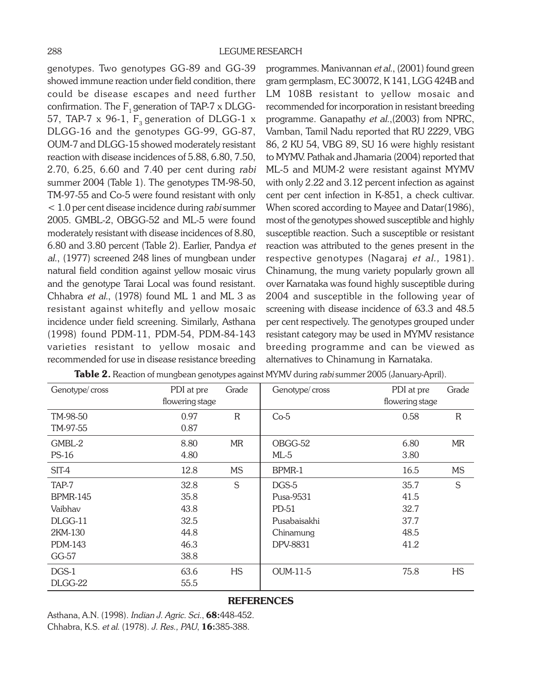genotypes. Two genotypes GG-89 and GG-39 showed immune reaction under field condition, there could be disease escapes and need further confirmation. The  $F_1$  generation of TAP-7 x DLGG-57, TAP-7 x 96-1,  $F_a$  generation of DLGG-1 x DLGG-16 and the genotypes GG-99, GG-87, OUM-7 and DLGG-15 showed moderately resistant reaction with disease incidences of 5.88, 6.80, 7.50, 2.70, 6.25, 6.60 and 7.40 per cent during rabi summer 2004 (Table 1). The genotypes TM-98-50, TM-97-55 and Co-5 were found resistant with only < 1.0 per cent disease incidence during rabi summer 2005. GMBL-2, OBGG-52 and ML-5 were found moderately resistant with disease incidences of 8.80, 6.80 and 3.80 percent (Table 2). Earlier, Pandya et al., (1977) screened 248 lines of mungbean under natural field condition against yellow mosaic virus and the genotype Tarai Local was found resistant. Chhabra et al., (1978) found ML 1 and ML 3 as resistant against whitefly and yellow mosaic incidence under field screening. Similarly, Asthana (1998) found PDM-11, PDM-54, PDM-84-143 varieties resistant to yellow mosaic and recommended for use in disease resistance breeding

programmes. Manivannan et al., (2001) found green gram germplasm, EC 30072, K 141, LGG 424B and LM 108B resistant to yellow mosaic and recommended for incorporation in resistant breeding programme. Ganapathy et al.,(2003) from NPRC, Vamban, Tamil Nadu reported that RU 2229, VBG 86, 2 KU 54, VBG 89, SU 16 were highly resistant to MYMV. Pathak and Jhamaria (2004) reported that ML-5 and MUM-2 were resistant against MYMV with only 2.22 and 3.12 percent infection as against cent per cent infection in K-851, a check cultivar. When scored according to Mayee and Datar(1986), most of the genotypes showed susceptible and highly susceptible reaction. Such a susceptible or resistant reaction was attributed to the genes present in the respective genotypes (Nagaraj et al., 1981). Chinamung, the mung variety popularly grown all over Karnataka was found highly susceptible during 2004 and susceptible in the following year of screening with disease incidence of 63.3 and 48.5 per cent respectively. The genotypes grouped under resistant category may be used in MYMV resistance breeding programme and can be viewed as alternatives to Chinamung in Karnataka.

| Genotype/cross  | PDI at pre      | Grade       | Genotype/cross  | PDI at pre      | Grade       |
|-----------------|-----------------|-------------|-----------------|-----------------|-------------|
|                 | flowering stage |             |                 | flowering stage |             |
| TM-98-50        | 0.97            | $\mathbf R$ | $Co-5$          | 0.58            | $\mathbf R$ |
| TM-97-55        | 0.87            |             |                 |                 |             |
| GMBL-2          | 8.80            | <b>MR</b>   | OBGG-52         | 6.80            | <b>MR</b>   |
| PS-16           | 4.80            |             | $ML-5$          | 3.80            |             |
| SIT-4           | 12.8            | <b>MS</b>   | BPMR-1          | 16.5            | <b>MS</b>   |
| TAP-7           | 32.8            | S           | DGS-5           | 35.7            | S           |
| <b>BPMR-145</b> | 35.8            |             | Pusa-9531       | 41.5            |             |
| Vaibhav         | 43.8            |             | $PD-51$         | 32.7            |             |
| DLGG-11         | 32.5            |             | Pusabaisakhi    | 37.7            |             |
| 2KM-130         | 44.8            |             | Chinamung       | 48.5            |             |
| PDM-143         | 46.3            |             | DPV-8831        | 41.2            |             |
| GG-57           | 38.8            |             |                 |                 |             |
| $DGS-1$         | 63.6            | <b>HS</b>   | <b>OUM-11-5</b> | 75.8            | <b>HS</b>   |
| DLGG-22         | 55.5            |             |                 |                 |             |

|  |  |  |  |  | Table 2. Reaction of mungbean genotypes against MYMV during rabi summer 2005 (January-April). |
|--|--|--|--|--|-----------------------------------------------------------------------------------------------|
|--|--|--|--|--|-----------------------------------------------------------------------------------------------|

#### **REFERENCES**

Asthana, A.N. (1998). Indian J. Agric. Sci., 68:448-452. Chhabra, K.S. et al. (1978). J. Res., PAU, 16:385-388.